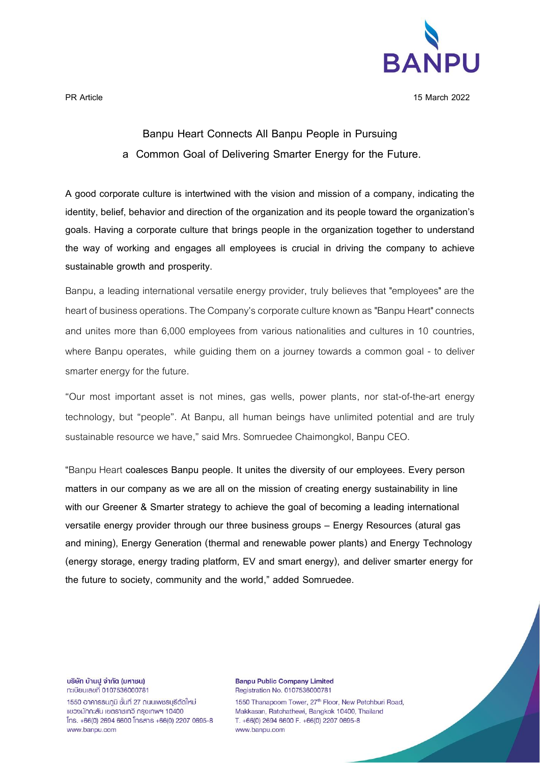

**PR Article 15 March 2022**

## **Banpu Heart Connects All Banpu People in Pursuing a Common Goal of Delivering Smarter Energy for the Future.**

**A good corporate culture is intertwined with the vision and mission of a company, indicating the identity, belief, behavior and direction of the organization and its people toward the organization's goals. Having a corporate culture that brings people in the organization together to understand the way of working and engages all employees is crucial in driving the company to achieve sustainable growth and prosperity.** 

Banpu, a leading international versatile energy provider, truly believes that "employees" are the heart of business operations.The Company's corporate culture known as "Banpu Heart" connects and unites more than 6,000 employees from various nationalities and cultures in 10 countries, where Banpu operates, while guiding them on a journey towards a common goal - to deliver smarter energy for the future.

"Our most important asset is not mines, gas wells, power plants, nor stat-of-the-art energy technology, but "people". At Banpu, all human beings have unlimited potential and are truly sustainable resource we have," said Mrs. Somruedee Chaimongkol, Banpu CEO.

**"**Banpu Heart **coalesces Banpu people. It unites the diversity of our employees. Every person matters in our company as we are all on the mission of creating energy sustainability in line with our Greener & Smarter strategy to achieve the goal of becoming a leading international versatile energy provider through our three business groups – Energy Resources (atural gas and mining), Energy Generation (thermal and renewable power plants) and Energy Technology (energy storage, energy trading platform, EV and smart energy), and deliver smarter energy for the future to society, community and the world," added Somruedee.**

บริษัท บ้านปู จำกัด (มหาชน) n:เบียนเลขที่ 0107536000781

1550 อาคารธนภมิ ชั้นที่ 27 ถนนเพชรบรีตัดใหม่ แขวงมักกะสัน เขตราชเทวี กรงเทพฯ 10400  $[ns. +66(0) 2694 6600]$  insans  $+66(0) 2207 0695 - 8$ www.banpu.com

**Banpu Public Company Limited** Registration No. 0107536000781

1550 Thanapoom Tower, 27th Floor, New Petchburi Road, Makkasan, Ratchathewi, Bangkok 10400, Thailand T. +66(0) 2694 6600 F. +66(0) 2207 0695-8 www.banpu.com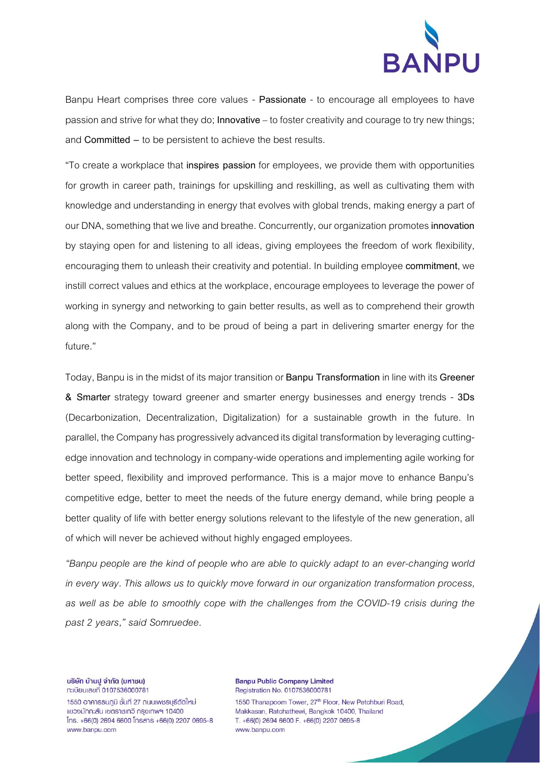

Banpu Heart comprises three core values - **Passionate** - to encourage all employees to have passion and strive for what they do; **Innovative** – to foster creativity and courage to try new things; and **Committed –** to be persistent to achieve the best results.

"To create a workplace that **inspires passion** for employees, we provide them with opportunities for growth in career path, trainings for upskilling and reskilling, as well as cultivating them with knowledge and understanding in energy that evolves with global trends, making energy a part of our DNA, something that we live and breathe. Concurrently, our organization promotes**innovation** by staying open for and listening to all ideas, giving employees the freedom of work flexibility, encouraging them to unleash their creativity and potential. In building employee**commitment**, we instill correct values and ethics at the workplace, encourage employees to leverage the power of working in synergy and networking to gain better results, as well as to comprehend their growth along with the Company, and to be proud of being a part in delivering smarter energy for the future."

Today, Banpu is in the midst of its major transition or **Banpu Transformation**in line with its **Greener & Smarter** strategy toward greener and smarter energy businesses and energy trends - **3Ds** (Decarbonization, Decentralization, Digitalization) for a sustainable growth in the future. In parallel, the Company has progressively advanced its digital transformation by leveraging cuttingedge innovation and technology in company-wide operations and implementing agile working for better speed, flexibility and improved performance. This is a major move to enhance Banpu's competitive edge, better to meet the needs of the future energy demand, while bring people a better quality of life with better energy solutions relevant to the lifestyle of the new generation, all of which will never be achieved without highly engaged employees.

*"Banpu people are the kind of people who are able to quickly adapt to an ever-changing world in every way. This allows us to quickly move forward in our organization transformation process, as well as be able to smoothly cope with the challenges from the COVID-19 crisis during the past 2 years," said Somruedee.*

บริษัท บ้านปู จำกัด (มหาชน) n:เบียนเลขที่ 0107536000781

1550 อาคารธนภมิ ชั้นที่ 27 ถนนเพชรบรีตัดใหม่ แขวงมักกะสัน เขตราชเทวี กรงเทพฯ 10400  $[ns. +66(0) 2694 6600]$  insans  $+66(0) 2207 0695 - 8$ www.banpu.com

**Banpu Public Company Limited** Registration No. 0107536000781

1550 Thanapoom Tower, 27th Floor, New Petchburi Road, Makkasan, Ratchathewi, Bangkok 10400, Thailand T. +66(0) 2694 6600 F. +66(0) 2207 0695-8 www.banpu.com